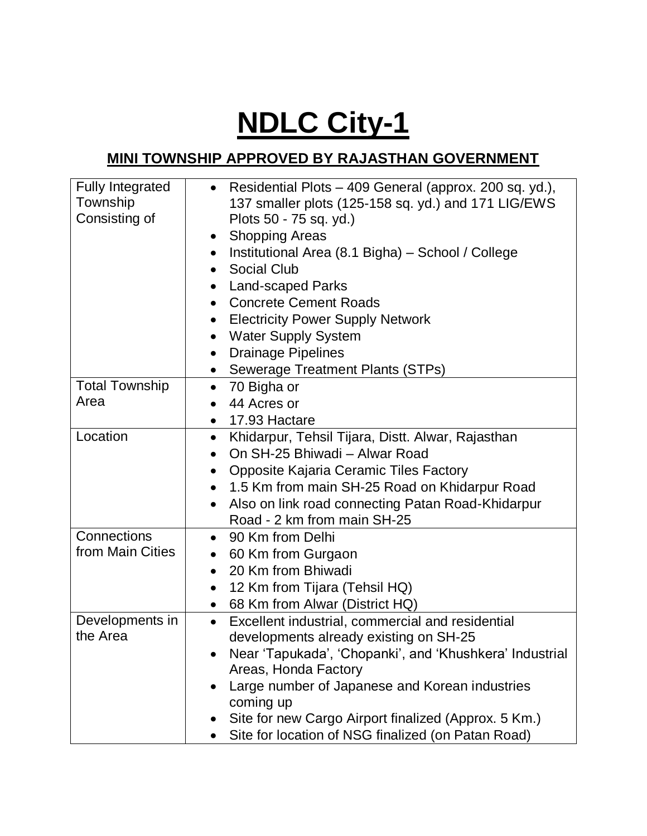## **NDLC City-1**

## **MINI TOWNSHIP APPROVED BY RAJASTHAN GOVERNMENT**

| <b>Fully Integrated</b><br>Township<br>Consisting of | • Residential Plots - 409 General (approx. 200 sq. yd.),<br>137 smaller plots (125-158 sq. yd.) and 171 LIG/EWS<br>Plots 50 - 75 sq. yd.)<br><b>Shopping Areas</b><br>$\bullet$<br>Institutional Area (8.1 Bigha) - School / College<br>$\bullet$<br><b>Social Club</b><br>$\bullet$<br><b>Land-scaped Parks</b><br>$\bullet$<br><b>Concrete Cement Roads</b><br><b>Electricity Power Supply Network</b><br>$\bullet$<br><b>Water Supply System</b><br><b>Drainage Pipelines</b><br>$\bullet$<br><b>Sewerage Treatment Plants (STPs)</b><br>$\bullet$ |
|------------------------------------------------------|-------------------------------------------------------------------------------------------------------------------------------------------------------------------------------------------------------------------------------------------------------------------------------------------------------------------------------------------------------------------------------------------------------------------------------------------------------------------------------------------------------------------------------------------------------|
| <b>Total Township</b>                                | 70 Bigha or<br>$\bullet$                                                                                                                                                                                                                                                                                                                                                                                                                                                                                                                              |
| Area                                                 | 44 Acres or                                                                                                                                                                                                                                                                                                                                                                                                                                                                                                                                           |
|                                                      | 17.93 Hactare<br>$\bullet$                                                                                                                                                                                                                                                                                                                                                                                                                                                                                                                            |
| Location                                             | Khidarpur, Tehsil Tijara, Distt. Alwar, Rajasthan<br>$\bullet$                                                                                                                                                                                                                                                                                                                                                                                                                                                                                        |
|                                                      | On SH-25 Bhiwadi - Alwar Road<br>$\bullet$                                                                                                                                                                                                                                                                                                                                                                                                                                                                                                            |
|                                                      | Opposite Kajaria Ceramic Tiles Factory<br>$\bullet$                                                                                                                                                                                                                                                                                                                                                                                                                                                                                                   |
|                                                      | 1.5 Km from main SH-25 Road on Khidarpur Road                                                                                                                                                                                                                                                                                                                                                                                                                                                                                                         |
|                                                      | Also on link road connecting Patan Road-Khidarpur<br>$\bullet$                                                                                                                                                                                                                                                                                                                                                                                                                                                                                        |
|                                                      | Road - 2 km from main SH-25                                                                                                                                                                                                                                                                                                                                                                                                                                                                                                                           |
| Connections                                          | 90 Km from Delhi<br>$\bullet$                                                                                                                                                                                                                                                                                                                                                                                                                                                                                                                         |
| from Main Cities                                     | 60 Km from Gurgaon<br>$\bullet$                                                                                                                                                                                                                                                                                                                                                                                                                                                                                                                       |
|                                                      | 20 Km from Bhiwadi<br>$\bullet$                                                                                                                                                                                                                                                                                                                                                                                                                                                                                                                       |
|                                                      | 12 Km from Tijara (Tehsil HQ)<br>$\bullet$                                                                                                                                                                                                                                                                                                                                                                                                                                                                                                            |
|                                                      | 68 Km from Alwar (District HQ)<br>$\bullet$                                                                                                                                                                                                                                                                                                                                                                                                                                                                                                           |
| Developments in                                      | Excellent industrial, commercial and residential<br>$\bullet$                                                                                                                                                                                                                                                                                                                                                                                                                                                                                         |
| the Area                                             | developments already existing on SH-25                                                                                                                                                                                                                                                                                                                                                                                                                                                                                                                |
|                                                      | Near 'Tapukada', 'Chopanki', and 'Khushkera' Industrial                                                                                                                                                                                                                                                                                                                                                                                                                                                                                               |
|                                                      | Areas, Honda Factory<br>Large number of Japanese and Korean industries                                                                                                                                                                                                                                                                                                                                                                                                                                                                                |
|                                                      | coming up                                                                                                                                                                                                                                                                                                                                                                                                                                                                                                                                             |
|                                                      | Site for new Cargo Airport finalized (Approx. 5 Km.)                                                                                                                                                                                                                                                                                                                                                                                                                                                                                                  |
|                                                      | Site for location of NSG finalized (on Patan Road)                                                                                                                                                                                                                                                                                                                                                                                                                                                                                                    |